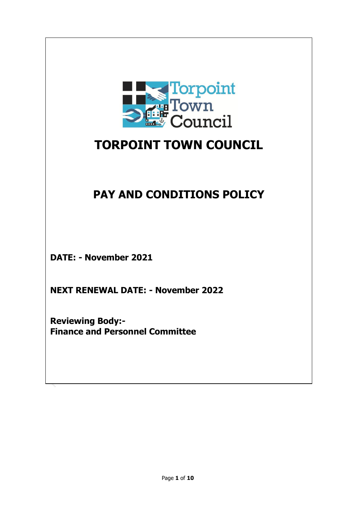

# **TORPOINT TOWN COUNCIL**

# **PAY AND CONDITIONS POLICY**

**DATE: - November 2021**

**NEXT RENEWAL DATE: - November 2022**

**Reviewing Body:- Finance and Personnel Committee**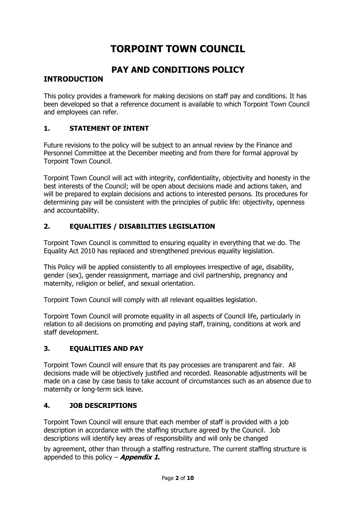## **TORPOINT TOWN COUNCIL**

## **PAY AND CONDITIONS POLICY**

## **INTRODUCTION**

This policy provides a framework for making decisions on staff pay and conditions. It has been developed so that a reference document is available to which Torpoint Town Council and employees can refer.

#### **1. STATEMENT OF INTENT**

Future revisions to the policy will be subject to an annual review by the Finance and Personnel Committee at the December meeting and from there for formal approval by Torpoint Town Council.

Torpoint Town Council will act with integrity, confidentiality, objectivity and honesty in the best interests of the Council; will be open about decisions made and actions taken, and will be prepared to explain decisions and actions to interested persons. Its procedures for determining pay will be consistent with the principles of public life: objectivity, openness and accountability.

#### **2. EQUALITIES / DISABILITIES LEGISLATION**

Torpoint Town Council is committed to ensuring equality in everything that we do. The Equality Act 2010 has replaced and strengthened previous equality legislation.

This Policy will be applied consistently to all employees irrespective of age, disability, gender (sex), gender reassignment, marriage and civil partnership, pregnancy and maternity, religion or belief, and sexual orientation.

Torpoint Town Council will comply with all relevant equalities legislation.

Torpoint Town Council will promote equality in all aspects of Council life, particularly in relation to all decisions on promoting and paying staff, training, conditions at work and staff development.

## **3. EQUALITIES AND PAY**

Torpoint Town Council will ensure that its pay processes are transparent and fair. All decisions made will be objectively justified and recorded. Reasonable adjustments will be made on a case by case basis to take account of circumstances such as an absence due to maternity or long-term sick leave.

#### **4. JOB DESCRIPTIONS**

Torpoint Town Council will ensure that each member of staff is provided with a job description in accordance with the staffing structure agreed by the Council. Job descriptions will identify key areas of responsibility and will only be changed

by agreement, other than through a staffing restructure. The current staffing structure is appended to this policy – **Appendix 1.**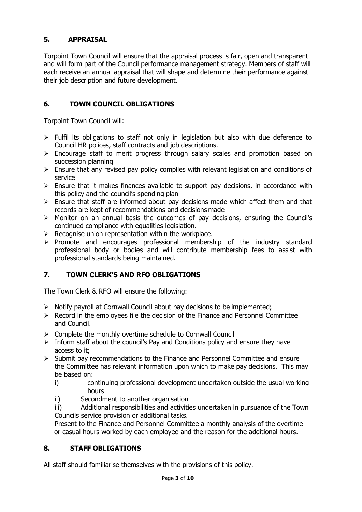## **5. APPRAISAL**

Torpoint Town Council will ensure that the appraisal process is fair, open and transparent and will form part of the Council performance management strategy. Members of staff will each receive an annual appraisal that will shape and determine their performance against their job description and future development.

## **6. TOWN COUNCIL OBLIGATIONS**

Torpoint Town Council will:

- $\triangleright$  Fulfil its obligations to staff not only in legislation but also with due deference to Council HR polices, staff contracts and job descriptions.
- $\triangleright$  Encourage staff to merit progress through salary scales and promotion based on succession planning
- $\triangleright$  Ensure that any revised pay policy complies with relevant legislation and conditions of service
- $\triangleright$  Ensure that it makes finances available to support pay decisions, in accordance with this policy and the council's spending plan
- $\triangleright$  Ensure that staff are informed about pay decisions made which affect them and that records are kept of recommendations and decisions made
- > Monitor on an annual basis the outcomes of pay decisions, ensuring the Council's continued compliance with equalities legislation.
- $\triangleright$  Recognise union representation within the workplace.
- $\triangleright$  Promote and encourages professional membership of the industry standard professional body or bodies and will contribute membership fees to assist with professional standards being maintained.

## **7. TOWN CLERK'S AND RFO OBLIGATIONS**

The Town Clerk & RFO will ensure the following:

- $\triangleright$  Notify payroll at Cornwall Council about pay decisions to be implemented;
- $\triangleright$  Record in the employees file the decision of the Finance and Personnel Committee and Council.
- $\triangleright$  Complete the monthly overtime schedule to Cornwall Council
- $\triangleright$  Inform staff about the council's Pay and Conditions policy and ensure they have access to it;
- $\triangleright$  Submit pay recommendations to the Finance and Personnel Committee and ensure the Committee has relevant information upon which to make pay decisions. This may be based on:
	- i) continuing professional development undertaken outside the usual working hours
	- ii) Secondment to another organisation
	- iii) Additional responsibilities and activities undertaken in pursuance of the Town Councils service provision or additional tasks.

Present to the Finance and Personnel Committee a monthly analysis of the overtime or casual hours worked by each employee and the reason for the additional hours.

## **8. STAFF OBLIGATIONS**

All staff should familiarise themselves with the provisions of this policy.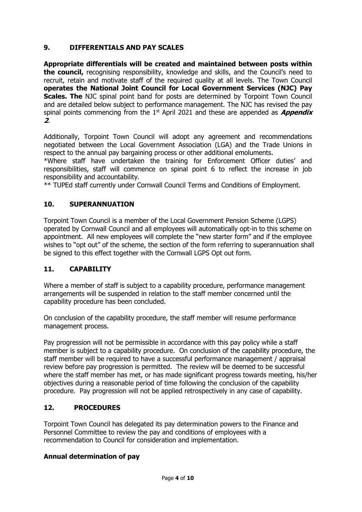### **9. DIFFERENTIALS AND PAY SCALES**

**Appropriate differentials will be created and maintained between posts within the council,** recognising responsibility, knowledge and skills, and the Council's need to recruit, retain and motivate staff of the required quality at all levels. The Town Council **operates the National Joint Council for Local Government Services (NJC) Pay Scales. The** NJC spinal point band for posts are determined by Torpoint Town Council and are detailed below subject to performance management. The NJC has revised the pay spinal points commencing from the 1<sup>st</sup> April 2021 and these are appended as *Appendix* **2**.

Additionally, Torpoint Town Council will adopt any agreement and recommendations negotiated between the Local Government Association (LGA) and the Trade Unions in respect to the annual pay bargaining process or other additional emoluments.

\*Where staff have undertaken the training for Enforcement Officer duties' and responsibilities, staff will commence on spinal point 6 to reflect the increase in job responsibility and accountability.

\*\* TUPEd staff currently under Cornwall Council Terms and Conditions of Employment.

#### **10. SUPERANNUATION**

Torpoint Town Council is a member of the Local Government Pension Scheme (LGPS) operated by Cornwall Council and all employees will automatically opt-in to this scheme on appointment. All new employees will complete the "new starter form" and if the employee wishes to "opt out" of the scheme, the section of the form referring to superannuation shall be signed to this effect together with the Cornwall LGPS Opt out form.

#### **11. CAPABILITY**

Where a member of staff is subject to a capability procedure, performance management arrangements will be suspended in relation to the staff member concerned until the capability procedure has been concluded.

On conclusion of the capability procedure, the staff member will resume performance management process.

Pay progression will not be permissible in accordance with this pay policy while a staff member is subject to a capability procedure. On conclusion of the capability procedure, the staff member will be required to have a successful performance management / appraisal review before pay progression is permitted. The review will be deemed to be successful where the staff member has met, or has made significant progress towards meeting, his/her objectives during a reasonable period of time following the conclusion of the capability procedure. Pay progression will not be applied retrospectively in any case of capability.

#### **12. PROCEDURES**

Torpoint Town Council has delegated its pay determination powers to the Finance and Personnel Committee to review the pay and conditions of employees with a recommendation to Council for consideration and implementation.

#### **Annual determination of pay**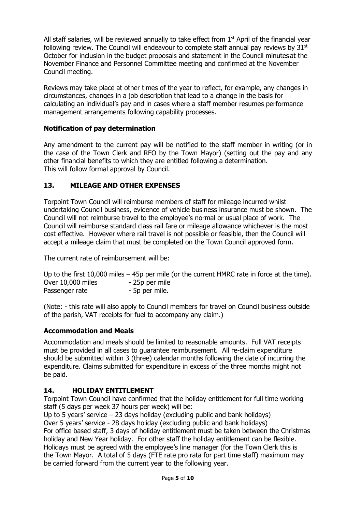All staff salaries, will be reviewed annually to take effect from  $1<sup>st</sup>$  April of the financial year following review. The Council will endeavour to complete staff annual pay reviews by  $31<sup>st</sup>$ October for inclusion in the budget proposals and statement in the Council minutes at the November Finance and Personnel Committee meeting and confirmed at the November Council meeting.

Reviews may take place at other times of the year to reflect, for example, any changes in circumstances, changes in a job description that lead to a change in the basis for calculating an individual's pay and in cases where a staff member resumes performance management arrangements following capability processes.

#### **Notification of pay determination**

Any amendment to the current pay will be notified to the staff member in writing (or in the case of the Town Clerk and RFO by the Town Mayor) (setting out the pay and any other financial benefits to which they are entitled following a determination. This will follow formal approval by Council.

#### **13. MILEAGE AND OTHER EXPENSES**

Torpoint Town Council will reimburse members of staff for mileage incurred whilst undertaking Council business, evidence of vehicle business insurance must be shown. The Council will not reimburse travel to the employee's normal or usual place of work. The Council will reimburse standard class rail fare or mileage allowance whichever is the most cost effective. However where rail travel is not possible or feasible, then the Council will accept a mileage claim that must be completed on the Town Council approved form.

The current rate of reimbursement will be:

Up to the first 10,000 miles – 45p per mile (or the current HMRC rate in force at the time). Over 10,000 miles - 25p per mile Passenger rate - 5p per mile.

(Note: - this rate will also apply to Council members for travel on Council business outside of the parish, VAT receipts for fuel to accompany any claim.)

#### **Accommodation and Meals**

Accommodation and meals should be limited to reasonable amounts. Full VAT receipts must be provided in all cases to guarantee reimbursement. All re-claim expenditure should be submitted within 3 (three) calendar months following the date of incurring the expenditure. Claims submitted for expenditure in excess of the three months might not be paid.

#### **14. HOLIDAY ENTITLEMENT**

Torpoint Town Council have confirmed that the holiday entitlement for full time working staff (5 days per week 37 hours per week) will be:

Up to 5 years' service – 23 days holiday (excluding public and bank holidays) Over 5 years' service - 28 days holiday (excluding public and bank holidays) For office based staff, 3 days of holiday entitlement must be taken between the Christmas holiday and New Year holiday. For other staff the holiday entitlement can be flexible. Holidays must be agreed with the employee's line manager (for the Town Clerk this is the Town Mayor. A total of 5 days (FTE rate pro rata for part time staff) maximum may be carried forward from the current year to the following year.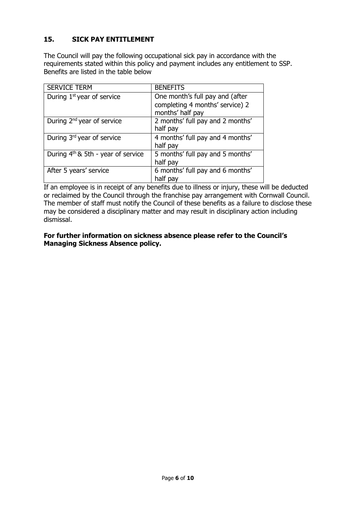## **15. SICK PAY ENTITLEMENT**

The Council will pay the following occupational sick pay in accordance with the requirements stated within this policy and payment includes any entitlement to SSP. Benefits are listed in the table below

| <b>SERVICE TERM</b>                            | <b>BENEFITS</b>                                                                        |
|------------------------------------------------|----------------------------------------------------------------------------------------|
| During 1 <sup>st</sup> year of service         | One month's full pay and (after<br>completing 4 months' service) 2<br>months' half pay |
| During 2 <sup>nd</sup> year of service         | 2 months' full pay and 2 months'<br>half pay                                           |
| During 3rd year of service                     | 4 months' full pay and 4 months'<br>half pay                                           |
| During 4 <sup>th</sup> & 5th - year of service | 5 months' full pay and 5 months'<br>half pay                                           |
| After 5 years' service                         | 6 months' full pay and 6 months'<br>half pay                                           |

If an employee is in receipt of any benefits due to illness or injury, these will be deducted or reclaimed by the Council through the franchise pay arrangement with Cornwall Council. The member of staff must notify the Council of these benefits as a failure to disclose these may be considered a disciplinary matter and may result in disciplinary action including dismissal.

#### **For further information on sickness absence please refer to the Council's Managing Sickness Absence policy.**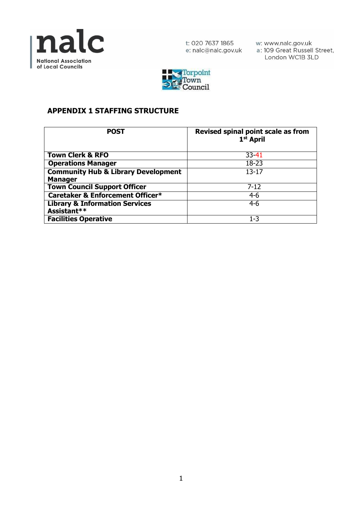

t: 020 7637 1865 e: nalc@nalc.gov.uk w: www.nalc.gov.uk<br>a: 109 Great Russell Street, London WC1B 3LD



## **APPENDIX 1 STAFFING STRUCTURE**

| <b>POST</b>                                    | Revised spinal point scale as from<br>1 <sup>st</sup> April |
|------------------------------------------------|-------------------------------------------------------------|
| <b>Town Clerk &amp; RFO</b>                    | $33 - 41$                                                   |
| <b>Operations Manager</b>                      | $18 - 23$                                                   |
| <b>Community Hub &amp; Library Development</b> | $13 - 17$                                                   |
| <b>Manager</b>                                 |                                                             |
| <b>Town Council Support Officer</b>            | $7 - 12$                                                    |
| Caretaker & Enforcement Officer*               | $4-6$                                                       |
| <b>Library &amp; Information Services</b>      | $4-6$                                                       |
| Assistant**                                    |                                                             |
| <b>Facilities Operative</b>                    | $1 - 3$                                                     |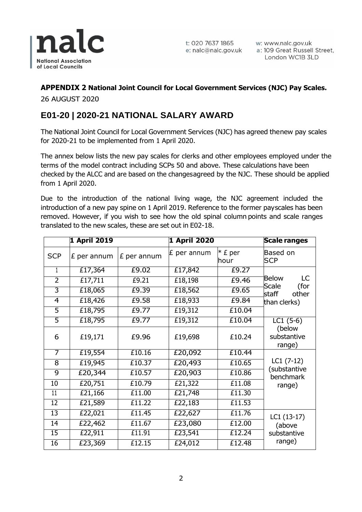

t: 020 7637 1865 w: www.nalc.gov.uk<br>e: nalc@nalc.gov.uk a: 109 Great Russell Street, London WC1B 3LD

## **APPENDIX 2 National Joint Council for Local Government Services (NJC) Pay Scales.**

26 AUGUST 2020

## **E01-20 | 2020-21 NATIONAL SALARY AWARD**

The National Joint Council for Local Government Services (NJC) has agreed thenew pay scales for 2020-21 to be implemented from 1 April 2020.

The annex below lists the new pay scales for clerks and other employees employed under the terms of the model contract including SCPs 50 and above. These calculations have been checked by the ALCC and are based on the changesagreed by the NJC. These should be applied from 1 April 2020.

Due to the introduction of the national living wage, the NJC agreement included the introduction of a new pay spine on 1 April 2019. Reference to the former payscales has been removed. However, if you wish to see how the old spinal column points and scale ranges translated to the new scales, these are set out in E02-18.

|                 | <b>1 April 2019</b> |             | 1 April 2020 |                   | <b>Scale ranges</b>                                                   |
|-----------------|---------------------|-------------|--------------|-------------------|-----------------------------------------------------------------------|
| <b>SCP</b>      | £ per annum         | £ per annum | £ per annum  | $*$ £ per<br>hour | Based on<br><b>SCP</b>                                                |
| 1               | £17,364             | £9.02       | £17,842      | £9.27             |                                                                       |
| $\overline{2}$  | £17,711             | £9.21       | £18,198      | £9.46             | <b>Below</b><br>LC<br>Scale<br>(for<br>other<br>staff<br>than clerks) |
| 3               | £18,065             | £9.39       | £18,562      | £9.65             |                                                                       |
| $\overline{4}$  | £18,426             | £9.58       | £18,933      | £9.84             |                                                                       |
| $\overline{5}$  | £18,795             | £9.77       | £19,312      | £10.04            |                                                                       |
| 5               | £18,795             | £9.77       | £19,312      | £10.04            | $LC1(5-6)$                                                            |
| 6               | £19,171             | £9.96       | £19,698      | £10.24            | (below<br>substantive<br>range)                                       |
| $\overline{7}$  | £19,554             | £10.16      | £20,092      | £10.44            |                                                                       |
| 8               | £19,945             | £10.37      | £20,493      | £10.65            | $LC1(7-12)$<br>(substantive<br>benchmark<br>range)                    |
| 9               | £20,344             | £10.57      | £20,903      | £10.86            |                                                                       |
| 10              | £20,751             | £10.79      | £21,322      | £11.08            |                                                                       |
| $\overline{11}$ | £21,166             | £11.00      | £21,748      | £11.30            |                                                                       |
| $\overline{12}$ | £21,589             | £11.22      | £22,183      | £11.53            |                                                                       |
| $\overline{13}$ | £22,021             | £11.45      | £22,627      | £11.76            | $LC1(13-17)$                                                          |
| 14              | £22,462             | £11.67      | £23,080      | £12.00            | (above                                                                |
| $\overline{15}$ | £22,911             | £11.91      | £23,541      | £12.24            | substantive<br>range)                                                 |
| 16              | £23,369             | £12.15      | £24,012      | £12.48            |                                                                       |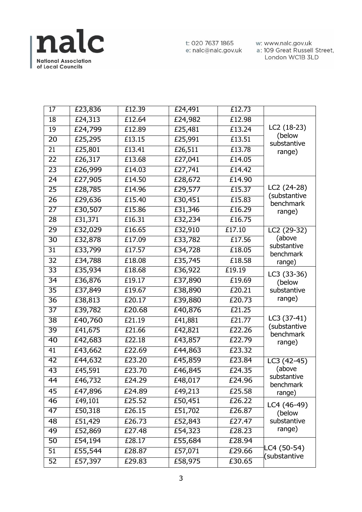

t: 020 7637 1865 e: nalc@nalc.gov.uk w: www.nalc.gov.uk<br>a: 109 Great Russell Street, London WC1B 3LD

| 17              | £23,836 | £12.39 | £24,491 | £12.73 |                                                |
|-----------------|---------|--------|---------|--------|------------------------------------------------|
| 18              | £24,313 | £12.64 | £24,982 | £12.98 |                                                |
| $\overline{19}$ | £24,799 | £12.89 | £25,481 | £13.24 | LC2 (18-23)<br>(below<br>substantive<br>range) |
| $\overline{20}$ | £25,295 | £13.15 | £25,991 | £13.51 |                                                |
| $\overline{21}$ | £25,801 | £13.41 | £26,511 | £13.78 |                                                |
| 22              | E26,317 | £13.68 | £27,041 | £14.05 |                                                |
| $\overline{23}$ | £26,999 | £14.03 | £27,741 | £14.42 |                                                |
| $\overline{24}$ | £27,905 | £14.50 | £28,672 | £14.90 |                                                |
| $\overline{25}$ | £28,785 | £14.96 | £29,577 | £15.37 | LC2 (24-28)                                    |
| 26              | £29,636 | £15.40 | £30,451 | £15.83 | (substantive<br>benchmark                      |
| $\overline{27}$ | £30,507 | £15.86 | £31,346 | £16.29 | range)                                         |
| $\overline{28}$ | E31,371 | £16.31 | £32,234 | £16.75 |                                                |
| 29              | £32,029 | £16.65 | £32,910 | £17.10 | LC2 (29-32)                                    |
| $\overline{30}$ | £32,878 | £17.09 | £33,782 | £17.56 | (above                                         |
| $\overline{31}$ | £33,799 | £17.57 | £34,728 | £18.05 | substantive<br>benchmark                       |
| 32              | £34,788 | £18.08 | £35,745 | £18.58 | range)                                         |
| $\overline{33}$ | £35,934 | E18.68 | £36,922 | £19.19 | LC3 (33-36)<br>(below<br>substantive<br>range) |
| $\overline{34}$ | £36,876 | E19.17 | £37,890 | £19.69 |                                                |
| $\overline{35}$ | £37,849 | £19.67 | £38,890 | £20.21 |                                                |
| $\overline{36}$ | £38,813 | £20.17 | £39,880 | £20.73 |                                                |
| $\overline{37}$ | £39,782 | £20.68 | £40,876 | £21.25 |                                                |
| $\overline{38}$ | £40,760 | E21.19 | £41,881 | £21.77 | LC3 (37-41)                                    |
| $\overline{39}$ | £41,675 | £21.66 | £42,821 | £22.26 | (substantive<br>benchmark<br>range)            |
| 40              | £42,683 | £22.18 | £43,857 | £22.79 |                                                |
| $\overline{41}$ | £43,662 | £22.69 | £44,863 | £23.32 |                                                |
| $\overline{42}$ | £44,632 | £23.20 | £45,859 | £23.84 | LC3 (42-45)                                    |
| $\overline{43}$ | £45,591 | £23.70 | £46,845 | £24.35 | (above                                         |
| 44              | £46,732 | £24.29 | £48,017 | £24.96 | substantive<br>benchmark<br>range)             |
| 45              | £47,896 | £24.89 | £49,213 | £25.58 |                                                |
| 46              | £49,101 | £25.52 | £50,451 | £26.22 | LC4 (46-49)                                    |
| 47              | £50,318 | £26.15 | £51,702 | £26.87 | (below<br>substantive<br>range)                |
| 48              | £51,429 | £26.73 | £52,843 | £27.47 |                                                |
| 49              | £52,869 | £27.48 | £54,323 | £28.23 |                                                |
| 50              | £54,194 | £28.17 | £55,684 | £28.94 | C4 (50-54)<br>(substantive                     |
| 51              | £55,544 | £28.87 | £57,071 | £29.66 |                                                |
| 52              | £57,397 | £29.83 | £58,975 | £30.65 |                                                |